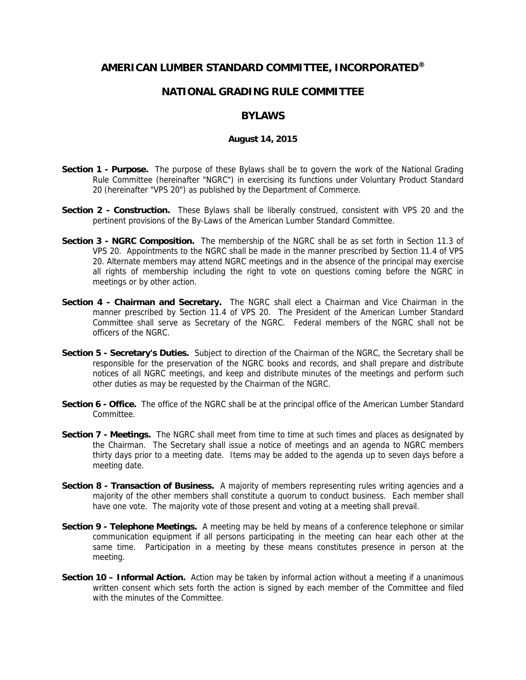## **AMERICAN LUMBER STANDARD COMMITTEE, INCORPORATED®**

## **NATIONAL GRADING RULE COMMITTEE**

## **BYLAWS**

## **August 14, 2015**

- **Section 1 - Purpose.** The purpose of these Bylaws shall be to govern the work of the National Grading Rule Committee (hereinafter "NGRC") in exercising its functions under Voluntary Product Standard 20 (hereinafter "VPS 20") as published by the Department of Commerce.
- **Section 2 - Construction.** These Bylaws shall be liberally construed, consistent with VPS 20 and the pertinent provisions of the By-Laws of the American Lumber Standard Committee.
- **Section 3 - NGRC Composition.** The membership of the NGRC shall be as set forth in Section 11.3 of VPS 20. Appointments to the NGRC shall be made in the manner prescribed by Section 11.4 of VPS 20. Alternate members may attend NGRC meetings and in the absence of the principal may exercise all rights of membership including the right to vote on questions coming before the NGRC in meetings or by other action.
- **Section 4 - Chairman and Secretary.** The NGRC shall elect a Chairman and Vice Chairman in the manner prescribed by Section 11.4 of VPS 20. The President of the American Lumber Standard Committee shall serve as Secretary of the NGRC. Federal members of the NGRC shall not be officers of the NGRC.
- **Section 5 - Secretary's Duties.** Subject to direction of the Chairman of the NGRC, the Secretary shall be responsible for the preservation of the NGRC books and records, and shall prepare and distribute notices of all NGRC meetings, and keep and distribute minutes of the meetings and perform such other duties as may be requested by the Chairman of the NGRC.
- **Section 6 - Office.** The office of the NGRC shall be at the principal office of the American Lumber Standard Committee.
- **Section 7 - Meetings.** The NGRC shall meet from time to time at such times and places as designated by the Chairman. The Secretary shall issue a notice of meetings and an agenda to NGRC members thirty days prior to a meeting date. Items may be added to the agenda up to seven days before a meeting date.
- **Section 8 - Transaction of Business.** A majority of members representing rules writing agencies and a majority of the other members shall constitute a quorum to conduct business. Each member shall have one vote. The majority vote of those present and voting at a meeting shall prevail.
- **Section 9 - Telephone Meetings.** A meeting may be held by means of a conference telephone or similar communication equipment if all persons participating in the meeting can hear each other at the same time. Participation in a meeting by these means constitutes presence in person at the meeting.
- **Section 10 – Informal Action.** Action may be taken by informal action without a meeting if a unanimous written consent which sets forth the action is signed by each member of the Committee and filed with the minutes of the Committee.